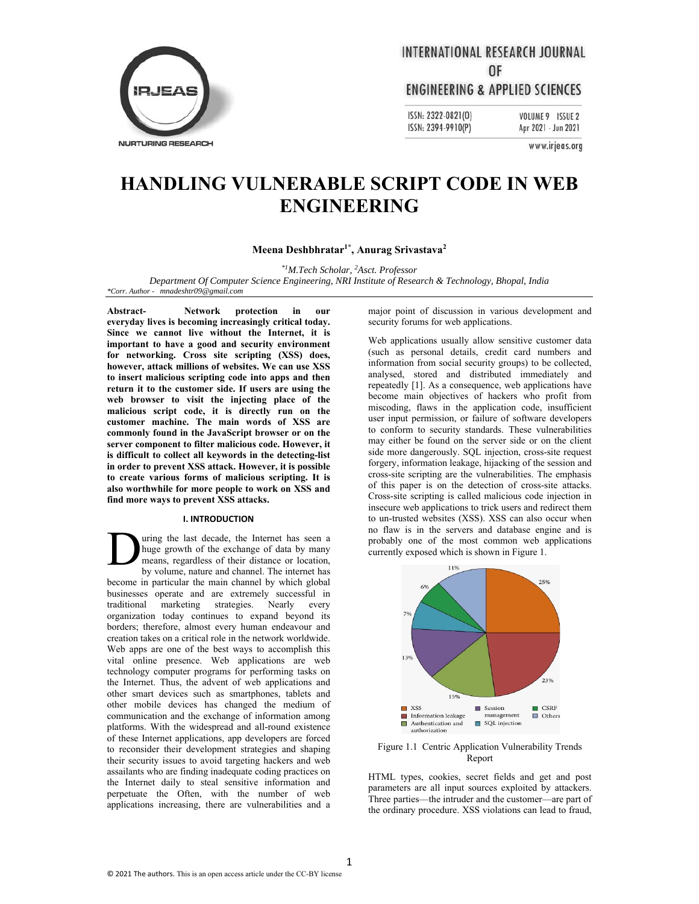

## **INTERNATIONAL RESEARCH JOURNAL** 0F

### **ENGINEERING & APPLIED SCIENCES**

ISSN: 2322-0821(0) ISSN: 2394-9910(P)

VOLUME 9 ISSUE 2 Apr 2021 - Jun 2021

www.irjeas.org

# **HANDLING VULNERABLE SCRIPT CODE IN WEB ENGINEERING**

#### **Meena Deshbhratar1\*, Anurag Srivastava2**

*\*1M.Tech Scholar, 2 Asct. Professor* 

*Department Of Computer Science Engineering, NRI Institute of Research & Technology, Bhopal, India \*Corr. Author - mnadeshtr09@gmail.com*

**Abstract- Network protection in our everyday lives is becoming increasingly critical today. Since we cannot live without the Internet, it is important to have a good and security environment for networking. Cross site scripting (XSS) does, however, attack millions of websites. We can use XSS to insert malicious scripting code into apps and then return it to the customer side. If users are using the web browser to visit the injecting place of the malicious script code, it is directly run on the customer machine. The main words of XSS are commonly found in the JavaScript browser or on the server component to filter malicious code. However, it is difficult to collect all keywords in the detecting-list in order to prevent XSS attack. However, it is possible to create various forms of malicious scripting. It is also worthwhile for more people to work on XSS and find more ways to prevent XSS attacks.** 

#### **I. INTRODUCTION**

uring the last decade, the Internet has seen a huge growth of the exchange of data by many means, regardless of their distance or location, by volume, nature and channel. The internet has become in particular the main channel by which global businesses operate and are extremely successful in traditional marketing strategies. Nearly every organization today continues to expand beyond its borders; therefore, almost every human endeavour and creation takes on a critical role in the network worldwide. Web apps are one of the best ways to accomplish this vital online presence. Web applications are web technology computer programs for performing tasks on the Internet. Thus, the advent of web applications and other smart devices such as smartphones, tablets and other mobile devices has changed the medium of communication and the exchange of information among platforms. With the widespread and all-round existence of these Internet applications, app developers are forced to reconsider their development strategies and shaping their security issues to avoid targeting hackers and web assailants who are finding inadequate coding practices on the Internet daily to steal sensitive information and perpetuate the Often, with the number of web applications increasing, there are vulnerabilities and a D

major point of discussion in various development and security forums for web applications.

Web applications usually allow sensitive customer data (such as personal details, credit card numbers and information from social security groups) to be collected, analysed, stored and distributed immediately and repeatedly [1]. As a consequence, web applications have become main objectives of hackers who profit from miscoding, flaws in the application code, insufficient user input permission, or failure of software developers to conform to security standards. These vulnerabilities may either be found on the server side or on the client side more dangerously. SQL injection, cross-site request forgery, information leakage, hijacking of the session and cross-site scripting are the vulnerabilities. The emphasis of this paper is on the detection of cross-site attacks. Cross-site scripting is called malicious code injection in insecure web applications to trick users and redirect them to un-trusted websites (XSS). XSS can also occur when no flaw is in the servers and database engine and is probably one of the most common web applications currently exposed which is shown in Figure 1.



Figure 1.1 Centric Application Vulnerability Trends Report

HTML types, cookies, secret fields and get and post parameters are all input sources exploited by attackers. Three parties—the intruder and the customer—are part of the ordinary procedure. XSS violations can lead to fraud,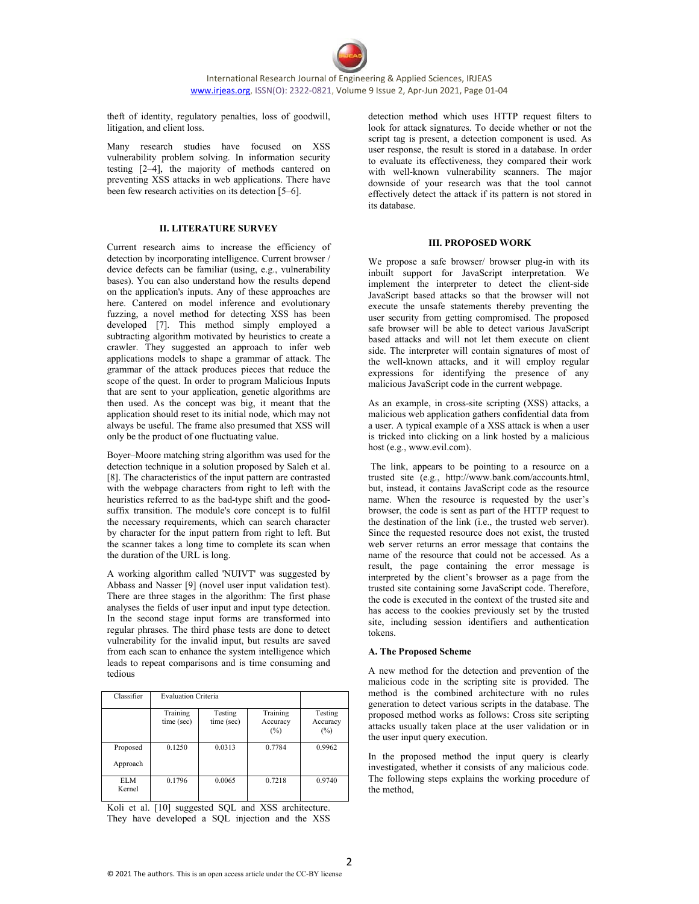theft of identity, regulatory penalties, loss of goodwill, litigation, and client loss.

Many research studies have focused on XSS vulnerability problem solving. In information security testing [2–4], the majority of methods cantered on preventing XSS attacks in web applications. There have been few research activities on its detection [5–6].

#### **II. LITERATURE SURVEY**

Current research aims to increase the efficiency of detection by incorporating intelligence. Current browser / device defects can be familiar (using, e.g., vulnerability bases). You can also understand how the results depend on the application's inputs. Any of these approaches are here. Cantered on model inference and evolutionary fuzzing, a novel method for detecting XSS has been developed [7]. This method simply employed a subtracting algorithm motivated by heuristics to create a crawler. They suggested an approach to infer web applications models to shape a grammar of attack. The grammar of the attack produces pieces that reduce the scope of the quest. In order to program Malicious Inputs that are sent to your application, genetic algorithms are then used. As the concept was big, it meant that the application should reset to its initial node, which may not always be useful. The frame also presumed that XSS will only be the product of one fluctuating value.

Boyer–Moore matching string algorithm was used for the detection technique in a solution proposed by Saleh et al. [8]. The characteristics of the input pattern are contrasted with the webpage characters from right to left with the heuristics referred to as the bad-type shift and the goodsuffix transition. The module's core concept is to fulfil the necessary requirements, which can search character by character for the input pattern from right to left. But the scanner takes a long time to complete its scan when the duration of the URL is long.

A working algorithm called 'NUIVT' was suggested by Abbass and Nasser [9] (novel user input validation test). There are three stages in the algorithm: The first phase analyses the fields of user input and input type detection. In the second stage input forms are transformed into regular phrases. The third phase tests are done to detect vulnerability for the invalid input, but results are saved from each scan to enhance the system intelligence which leads to repeat comparisons and is time consuming and tedious

| Classifier           | <b>Evaluation Criteria</b> |                       |                             |                            |
|----------------------|----------------------------|-----------------------|-----------------------------|----------------------------|
|                      | Training<br>time (sec)     | Testing<br>time (sec) | Training<br>Accuracy<br>(%) | Testing<br>Accuracy<br>(%) |
| Proposed<br>Approach | 0.1250                     | 0.0313                | 0.7784                      | 0.9962                     |
| <b>ELM</b><br>Kernel | 0.1796                     | 0.0065                | 0.7218                      | 0.9740                     |

Koli et al. [10] suggested SQL and XSS architecture. They have developed a SQL injection and the XSS detection method which uses HTTP request filters to look for attack signatures. To decide whether or not the script tag is present, a detection component is used. As user response, the result is stored in a database. In order to evaluate its effectiveness, they compared their work with well-known vulnerability scanners. The major downside of your research was that the tool cannot effectively detect the attack if its pattern is not stored in its database.

#### **III. PROPOSED WORK**

We propose a safe browser/ browser plug-in with its inbuilt support for JavaScript interpretation. We implement the interpreter to detect the client-side JavaScript based attacks so that the browser will not execute the unsafe statements thereby preventing the user security from getting compromised. The proposed safe browser will be able to detect various JavaScript based attacks and will not let them execute on client side. The interpreter will contain signatures of most of the well-known attacks, and it will employ regular expressions for identifying the presence of any malicious JavaScript code in the current webpage.

As an example, in cross-site scripting (XSS) attacks, a malicious web application gathers confidential data from a user. A typical example of a XSS attack is when a user is tricked into clicking on a link hosted by a malicious host (e.g., www.evil.com).

 The link, appears to be pointing to a resource on a trusted site (e.g., http://www.bank.com/accounts.html, but, instead, it contains JavaScript code as the resource name. When the resource is requested by the user's browser, the code is sent as part of the HTTP request to the destination of the link (i.e., the trusted web server). Since the requested resource does not exist, the trusted web server returns an error message that contains the name of the resource that could not be accessed. As a result, the page containing the error message is interpreted by the client's browser as a page from the trusted site containing some JavaScript code. Therefore, the code is executed in the context of the trusted site and has access to the cookies previously set by the trusted site, including session identifiers and authentication tokens.

#### **A. The Proposed Scheme**

A new method for the detection and prevention of the malicious code in the scripting site is provided. The method is the combined architecture with no rules generation to detect various scripts in the database. The proposed method works as follows: Cross site scripting attacks usually taken place at the user validation or in the user input query execution.

In the proposed method the input query is clearly investigated, whether it consists of any malicious code. The following steps explains the working procedure of the method,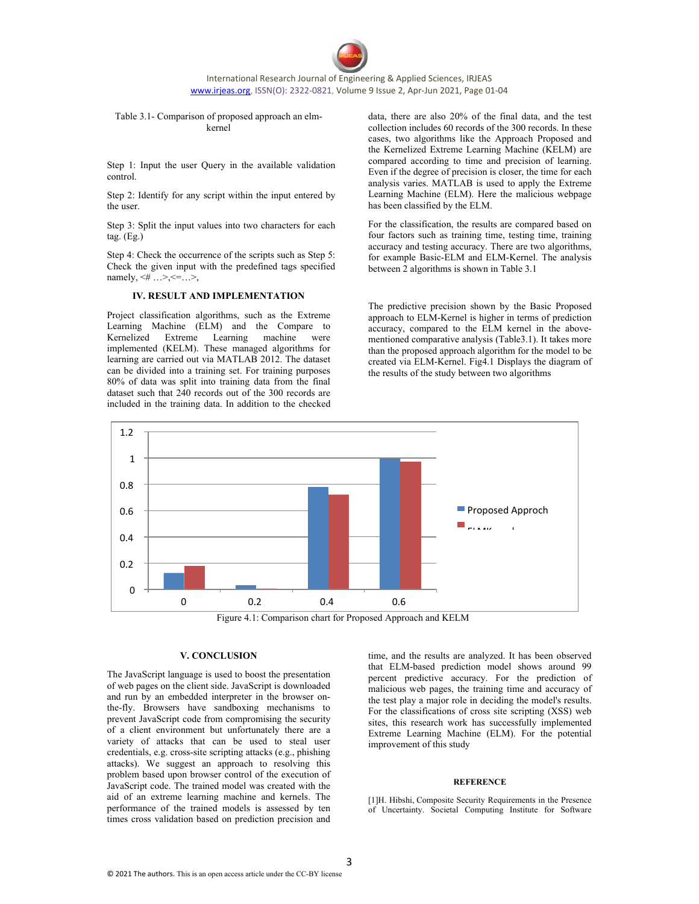International Research Journal of Engineering & Applied Sciences, IRJEAS www.irjeas.org, ISSN(O): 2322‐0821, Volume 9 Issue 2, Apr‐Jun 2021, Page 01‐04

#### Table 3.1- Comparison of proposed approach an elmkernel

Step 1: Input the user Query in the available validation control.

Step 2: Identify for any script within the input entered by the user.

Step 3: Split the input values into two characters for each tag. (Eg.)

Step 4: Check the occurrence of the scripts such as Step 5: Check the given input with the predefined tags specified namely,  $4 \dots > -1$ ,

#### **IV. RESULT AND IMPLEMENTATION**

Project classification algorithms, such as the Extreme Learning Machine (ELM) and the Compare to Kernelized Extreme Learning machine were implemented (KELM). These managed algorithms for learning are carried out via MATLAB 2012. The dataset can be divided into a training set. For training purposes 80% of data was split into training data from the final dataset such that 240 records out of the 300 records are included in the training data. In addition to the checked

data, there are also 20% of the final data, and the test collection includes 60 records of the 300 records. In these cases, two algorithms like the Approach Proposed and the Kernelized Extreme Learning Machine (KELM) are compared according to time and precision of learning. Even if the degree of precision is closer, the time for each analysis varies. MATLAB is used to apply the Extreme Learning Machine (ELM). Here the malicious webpage has been classified by the ELM.

For the classification, the results are compared based on four factors such as training time, testing time, training accuracy and testing accuracy. There are two algorithms, for example Basic-ELM and ELM-Kernel. The analysis between 2 algorithms is shown in Table 3.1

The predictive precision shown by the Basic Proposed approach to ELM-Kernel is higher in terms of prediction accuracy, compared to the ELM kernel in the abovementioned comparative analysis (Table3.1). It takes more than the proposed approach algorithm for the model to be created via ELM-Kernel. Fig4.1 Displays the diagram of the results of the study between two algorithms



Figure 4.1: Comparison chart for Proposed Approach and KELM

#### **V. CONCLUSION**

The JavaScript language is used to boost the presentation of web pages on the client side. JavaScript is downloaded and run by an embedded interpreter in the browser onthe-fly. Browsers have sandboxing mechanisms to prevent JavaScript code from compromising the security of a client environment but unfortunately there are a variety of attacks that can be used to steal user credentials, e.g. cross-site scripting attacks (e.g., phishing attacks). We suggest an approach to resolving this problem based upon browser control of the execution of JavaScript code. The trained model was created with the aid of an extreme learning machine and kernels. The performance of the trained models is assessed by ten times cross validation based on prediction precision and

time, and the results are analyzed. It has been observed that ELM-based prediction model shows around 99 percent predictive accuracy. For the prediction of malicious web pages, the training time and accuracy of the test play a major role in deciding the model's results. For the classifications of cross site scripting (XSS) web sites, this research work has successfully implemented Extreme Learning Machine (ELM). For the potential improvement of this study

#### **REFERENCE**

[1]H. Hibshi, Composite Security Requirements in the Presence of Uncertainty. Societal Computing Institute for Software